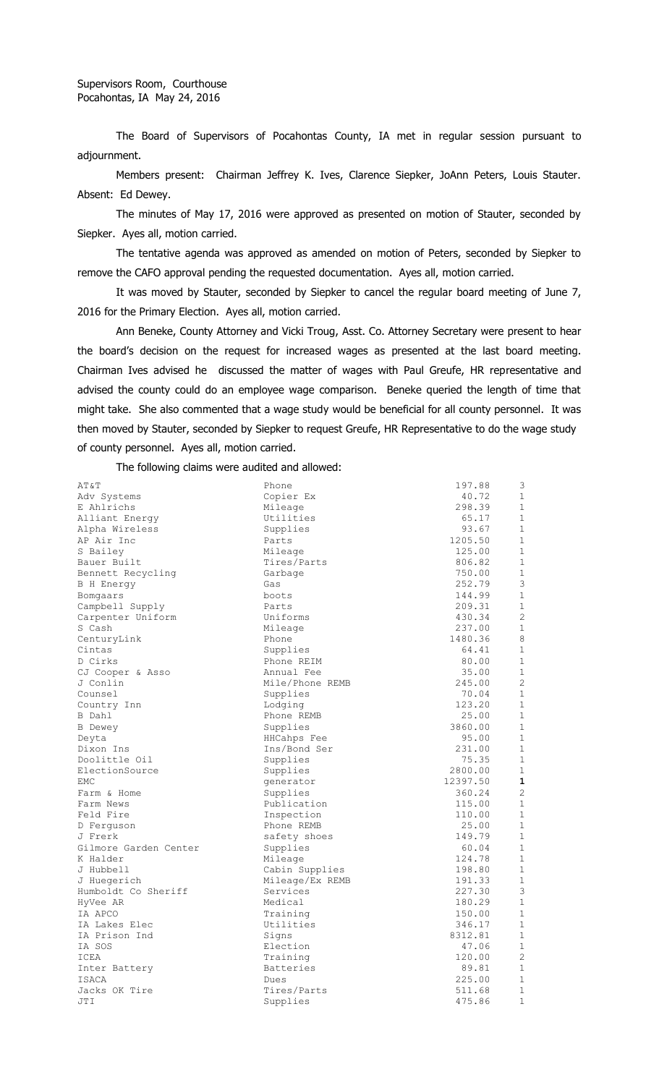The Board of Supervisors of Pocahontas County, IA met in regular session pursuant to adjournment.

Members present: Chairman Jeffrey K. Ives, Clarence Siepker, JoAnn Peters, Louis Stauter. Absent: Ed Dewey.

The minutes of May 17, 2016 were approved as presented on motion of Stauter, seconded by Siepker. Ayes all, motion carried.

The tentative agenda was approved as amended on motion of Peters, seconded by Siepker to remove the CAFO approval pending the requested documentation. Ayes all, motion carried.

It was moved by Stauter, seconded by Siepker to cancel the regular board meeting of June 7, 2016 for the Primary Election. Ayes all, motion carried.

Ann Beneke, County Attorney and Vicki Troug, Asst. Co. Attorney Secretary were present to hear the board's decision on the request for increased wages as presented at the last board meeting. Chairman Ives advised he discussed the matter of wages with Paul Greufe, HR representative and advised the county could do an employee wage comparison. Beneke queried the length of time that might take. She also commented that a wage study would be beneficial for all county personnel. It was then moved by Stauter, seconded by Siepker to request Greufe, HR Representative to do the wage study of county personnel. Ayes all, motion carried.

The following claims were audited and allowed:

| AT&T                  | Phone                 | 197.88           | 3              |
|-----------------------|-----------------------|------------------|----------------|
| Adv Systems           | Copier Ex             | 40.72            | 1              |
| E Ahlrichs            | Mileage               | 298.39           | $\mathbf{1}$   |
| Alliant Energy        | Utilities             | 65.17            | $\mathbf 1$    |
| Alpha Wireless        | Supplies              | 93.67            | 1              |
| AP Air Inc            | Parts                 | 1205.50          | 1              |
| S Bailey              | Mileage               | 125.00           | 1              |
| Bauer Built           | Tires/Parts           | 806.82           | $\mathbf{1}$   |
| Bennett Recycling     | Garbage               | 750.00           | 1              |
| B H Energy            | Gas                   | 252.79           | 3              |
| Bomgaars              | boots                 | 144.99           | $\mathbf{1}$   |
| Campbell Supply       | Parts                 | 209.31           | $\mathbf{1}$   |
| Carpenter Uniform     | Uniforms              | 430.34           | 2              |
| S Cash                | Mileage               | 237.00           | 1              |
| CenturyLink           | Phone                 | 1480.36          | 8              |
| Cintas                | Supplies              | 64.41            | 1              |
| D Cirks               | Phone REIM            | 80.00            | $\mathbf{1}$   |
| CJ Cooper & Asso      | Annual Fee            | 35.00            | $\mathbf 1$    |
| J Conlin              | Mile/Phone REMB       | 245.00           | $\overline{c}$ |
| Counsel               | Supplies              | 70.04            | $\mathbf{1}$   |
| Country Inn           | Lodging               | 123.20           | $\mathbf{1}$   |
| B Dahl                | Phone REMB            | 25.00            | $\mathbf 1$    |
| <b>B</b> Dewey        | Supplies              | 3860.00          | 1              |
| Deyta                 | HHCahps Fee           | 95.00            | $\mathbf{1}$   |
| Dixon Ins             | Ins/Bond Ser          | 231.00           | $\mathbf{1}$   |
| Doolittle Oil         | Supplies              | 75.35            | $\mathbf{1}$   |
| ElectionSource        | Supplies              | 2800.00          | $\mathbf{1}$   |
| <b>EMC</b>            | generator             | 12397.50         | $\mathbf{1}$   |
| Farm & Home           | Supplies              | 360.24           | 2              |
| Farm News             | Publication           | 115.00           | $\mathbf 1$    |
| Feld Fire             | Inspection            | 110.00           | $\mathbf 1$    |
| D Ferguson            | Phone REMB            | 25.00            | $\mathbf 1$    |
| J Frerk               | safety shoes          | 149.79           | $\mathbf{1}$   |
| Gilmore Garden Center | Supplies              | 60.04            | 1              |
| K Halder              | Mileage               | 124.78           | $\mathbf{1}$   |
| J Hubbell             | Cabin Supplies        | 198.80           | $\mathbf 1$    |
| J Huegerich           | Mileage/Ex REMB       | 191.33           | $\mathbf{1}$   |
| Humboldt Co Sheriff   | Services              | 227.30           | 3              |
| HyVee AR              | Medical               | 180.29           | $\mathbf 1$    |
| IA APCO               |                       |                  | $\mathbf 1$    |
| IA Lakes Elec         | Training<br>Utilities | 150.00<br>346.17 | $\mathbf 1$    |
| IA Prison Ind         |                       | 8312.81          | $\mathbf{1}$   |
|                       | Signs                 |                  | 1              |
| IA SOS                | Election              | 47.06            |                |
| ICEA                  | Training              | 120.00           | $\overline{c}$ |
| Inter Battery         | <b>Batteries</b>      | 89.81            | $\mathbf 1$    |
| <b>ISACA</b>          | Dues                  | 225.00           | $\mathbf{1}$   |
| Jacks OK Tire         | Tires/Parts           | 511.68           | 1              |
| JTI                   | Supplies              | 475.86           | $\mathbf{1}$   |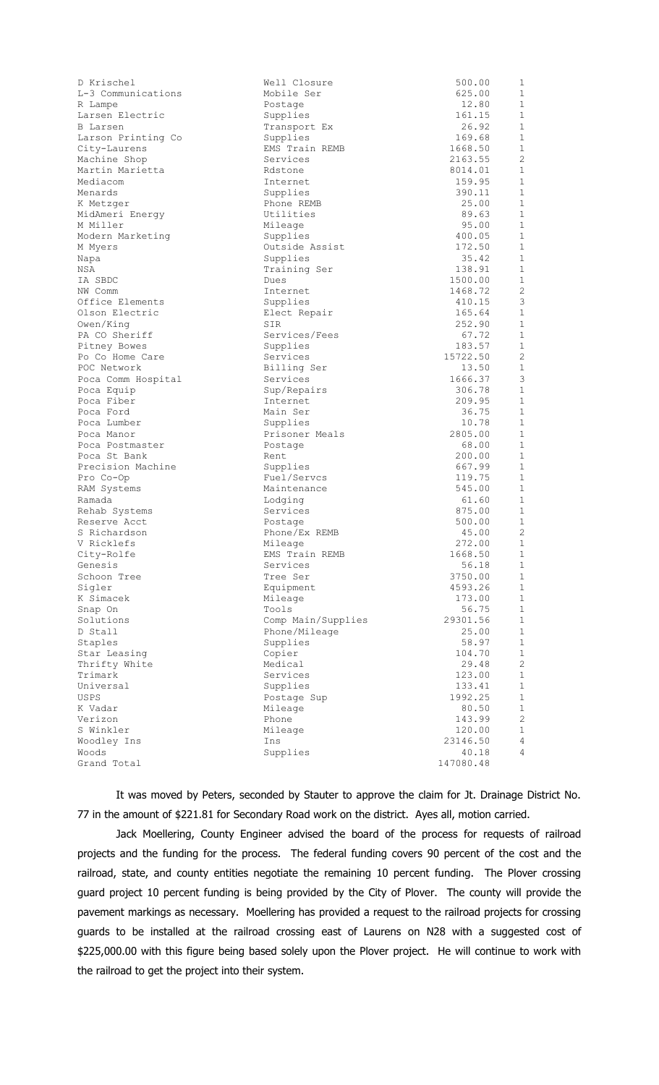| D Krischel         | Well Closure       | 500.00    | 1              |
|--------------------|--------------------|-----------|----------------|
| L-3 Communications | Mobile Ser         | 625.00    | 1              |
| R Lampe            | Postage            | 12.80     | 1              |
| Larsen Electric    | Supplies           | 161.15    | 1              |
| B Larsen           | Transport Ex       | 26.92     | $\mathbf{1}$   |
| Larson Printing Co | Supplies           | 169.68    | $\mathbf{1}$   |
| City-Laurens       | EMS Train REMB     | 1668.50   | 1              |
| Machine Shop       | Services           | 2163.55   | 2              |
| Martin Marietta    | Rdstone            | 8014.01   | $\mathbf{1}$   |
| Mediacom           | Internet           | 159.95    | $\mathbf{1}$   |
| Menards            | Supplies           | 390.11    | 1              |
| K Metzger          | Phone REMB         | 25.00     | $\mathbf{1}$   |
| MidAmeri Energy    | Utilities          | 89.63     | $\mathbf{1}$   |
| M Miller           | Mileage            | 95.00     | 1              |
| Modern Marketing   | Supplies           | 400.05    | $\mathbf{1}$   |
| M Myers            | Outside Assist     | 172.50    | $\mathbf{1}$   |
| Napa               | Supplies           | 35.42     | 1              |
| NSA                | Training Ser       | 138.91    | $\mathbf{1}$   |
| IA SBDC            | Dues               | 1500.00   | $\mathbf{1}$   |
| NW Comm            | Internet           | 1468.72   | 2              |
| Office Elements    | Supplies           | 410.15    | 3              |
| Olson Electric     | Elect Repair       | 165.64    | $\mathbf{1}$   |
| Owen/King          | SIR                | 252.90    | $\mathbf{1}$   |
| PA CO Sheriff      | Services/Fees      | 67.72     | 1              |
| Pitney Bowes       | Supplies           | 183.57    | $\mathbf{1}$   |
| Po Co Home Care    | Services           | 15722.50  | 2              |
| POC Network        | Billing Ser        | 13.50     | 1              |
| Poca Comm Hospital | Services           | 1666.37   | 3              |
| Poca Equip         | Sup/Repairs        | 306.78    | $\mathbf{1}$   |
| Poca Fiber         | Internet           | 209.95    | $\mathbf{1}$   |
| Poca Ford          | Main Ser           | 36.75     | $\mathbf{1}$   |
| Poca Lumber        | Supplies           | 10.78     | $\mathbf{1}$   |
| Poca Manor         | Prisoner Meals     | 2805.00   | $\mathbf{1}$   |
| Poca Postmaster    | Postage            | 68.00     | $\mathbf{1}$   |
| Poca St Bank       | Rent               | 200.00    | $\mathbf{1}$   |
| Precision Machine  | Supplies           | 667.99    | $\mathbf{1}$   |
| Pro Co-Op          | Fuel/Servcs        | 119.75    | 1              |
| RAM Systems        | Maintenance        | 545.00    | $\mathbf 1$    |
| Ramada             | Lodging            | 61.60     | $\mathbf{1}$   |
| Rehab Systems      | Services           | 875.00    | 1              |
| Reserve Acct       | Postage            | 500.00    | 1              |
| S Richardson       | Phone/Ex REMB      | 45.00     | 2              |
| V Ricklefs         | Mileage            | 272.00    | $\mathbf 1$    |
| City-Rolfe         | EMS Train REMB     | 1668.50   | 1              |
| Genesis            | Services           | 56.18     | 1              |
| Schoon Tree        | Tree Ser           | 3750.00   | $\mathbf 1$    |
| Sigler             | Equipment          | 4593.26   | 1              |
| K Simacek          | Mileage            | 173.00    | $\mathbf{1}$   |
| Snap On            | Tools              | 56.75     | $\mathbf{1}$   |
| Solutions          | Comp Main/Supplies | 29301.56  | 1              |
| D Stall            | Phone/Mileage      | 25.00     | $\mathbf{1}$   |
| Staples            | Supplies           | 58.97     | $\mathbf{1}$   |
| Star Leasing       | Copier             | 104.70    | $\mathbf{1}$   |
| Thrifty White      | Medical            | 29.48     | 2              |
| Trimark            | Services           | 123.00    | $\mathbf{1}$   |
| Universal          | Supplies           | 133.41    | 1              |
| <b>USPS</b>        | Postage Sup        | 1992.25   | 1              |
| K Vadar            | Mileage            | 80.50     | $\mathbf{1}$   |
| Verizon            | Phone              | 143.99    | 2              |
| S Winkler          | Mileage            | 120.00    | 1              |
| Woodley Ins        | Ins                | 23146.50  | 4              |
| Woods              | Supplies           | 40.18     | $\overline{4}$ |
| Grand Total        |                    | 147080.48 |                |
|                    |                    |           |                |

It was moved by Peters, seconded by Stauter to approve the claim for Jt. Drainage District No. 77 in the amount of \$221.81 for Secondary Road work on the district. Ayes all, motion carried.

Jack Moellering, County Engineer advised the board of the process for requests of railroad projects and the funding for the process. The federal funding covers 90 percent of the cost and the railroad, state, and county entities negotiate the remaining 10 percent funding. The Plover crossing guard project 10 percent funding is being provided by the City of Plover. The county will provide the pavement markings as necessary. Moellering has provided a request to the railroad projects for crossing guards to be installed at the railroad crossing east of Laurens on N28 with a suggested cost of \$225,000.00 with this figure being based solely upon the Plover project. He will continue to work with the railroad to get the project into their system.